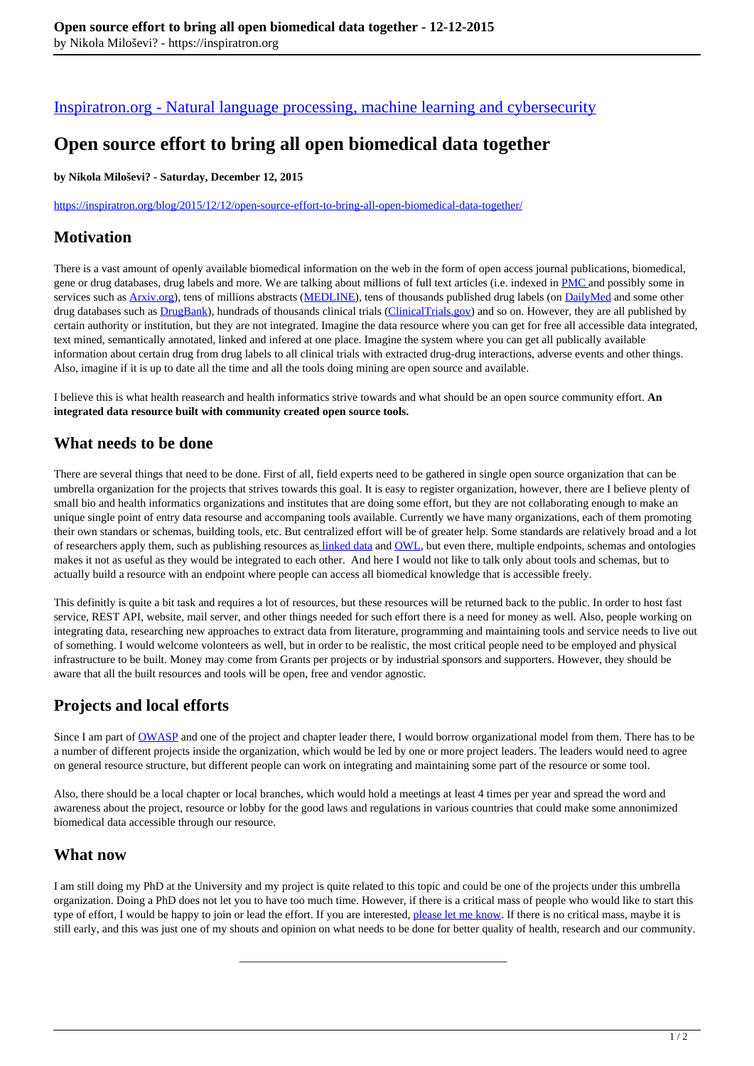[Inspiratron.org - Natural language processing, machine learning and cybersecurity](https://inspiratron.org)

# **Open source effort to bring all open biomedical data together**

#### **by Nikola Miloševi? - Saturday, December 12, 2015**

https://inspiratron.org/blog/2015/12/12/open-source-effort-to-bring-all-open-biomedical-data-together/

#### **Motivation**

There is a vast amount of openly available biomedical information on the web in the form of open access journal publications, biomedical, gene or drug databases, drug labels and more. We are talking about millions of full text articles (i.e. indexed in PMC and possibly some in services such as Arxiv.org), tens of millions abstracts (MEDLINE), tens of thousands published drug labels (on DailyMed and some other drug databases such as **DrugBank**), hundrads of thousands clinical trials (ClinicalTrials.gov) and so on. However, they are all published by certain authority or institution, but they are not integrated. Imagine the data resource where you can get for free all accessible data integrated, text mined, semantically annotated, linked and infered at one place. Imagine the system where you can get all publically available information about certain drug from drug labels to all clinical trials with extracted drug-drug interactions, adverse events and other things. Also, imagine if it is up to date all the time and all the tools doing mining are open source and available.

I believe this is what health reasearch and health informatics strive towards and what should be an open source community effort. **An integrated data resource built with community created open source tools.** 

## **What needs to be done**

There are several things that need to be done. First of all, field experts need to be gathered in single open source organization that can be umbrella organization for the projects that strives towards this goal. It is easy to register organization, however, there are I believe plenty of small bio and health informatics organizations and institutes that are doing some effort, but they are not collaborating enough to make an unique single point of entry data resourse and accompaning tools available. Currently we have many organizations, each of them promoting their own standars or schemas, building tools, etc. But centralized effort will be of greater help. Some standards are relatively broad and a lot of researchers apply them, such as publishing resources as linked data and OWL, but even there, multiple endpoints, schemas and ontologies makes it not as useful as they would be integrated to each other. And here I would not like to talk only about tools and schemas, but to actually build a resource with an endpoint where people can access all biomedical knowledge that is accessible freely.

This definitly is quite a bit task and requires a lot of resources, but these resources will be returned back to the public. In order to host fast service, REST API, website, mail server, and other things needed for such effort there is a need for money as well. Also, people working on integrating data, researching new approaches to extract data from literature, programming and maintaining tools and service needs to live out of something. I would welcome volonteers as well, but in order to be realistic, the most critical people need to be employed and physical infrastructure to be built. Money may come from Grants per projects or by industrial sponsors and supporters. However, they should be aware that all the built resources and tools will be open, free and vendor agnostic.

### **Projects and local efforts**

Since I am part of OWASP and one of the project and chapter leader there, I would borrow organizational model from them. There has to be a number of different projects inside the organization, which would be led by one or more project leaders. The leaders would need to agree on general resource structure, but different people can work on integrating and maintaining some part of the resource or some tool.

Also, there should be a local chapter or local branches, which would hold a meetings at least 4 times per year and spread the word and awareness about the project, resource or lobby for the good laws and regulations in various countries that could make some annonimized biomedical data accessible through our resource.

#### **What now**

I am still doing my PhD at the University and my project is quite related to this topic and could be one of the projects under this umbrella organization. Doing a PhD does not let you to have too much time. However, if there is a critical mass of people who would like to start this type of effort, I would be happy to join or lead the effort. If you are interested, please let me know. If there is no critical mass, maybe it is still early, and this was just one of my shouts and opinion on what needs to be done for better quality of health, research and our community.

\_\_\_\_\_\_\_\_\_\_\_\_\_\_\_\_\_\_\_\_\_\_\_\_\_\_\_\_\_\_\_\_\_\_\_\_\_\_\_\_\_\_\_\_\_\_\_